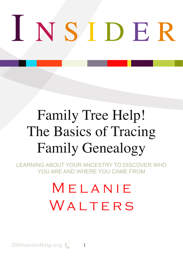# I N S I D E R

# Family Tree Help! The Basics of Tracing Family Genealogy

LEARNING ABOUT YOUR ANCESTRY TO DISCOVER WHO YOU ARE AND WHERE YOU CAME FROM

# MELANIE WALTERS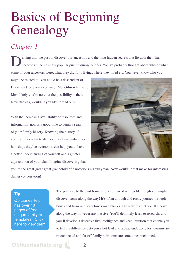# Basics of Beginning Genealogy

# *Chapter 1*

Eving into the past to discover our ancestors and the long hidden secrets that lie with them has<br>become an increasingly popular pursuit during our era. You've probably thought about who or become an increasingly popular pursuit during our era. You've probably thought about who or what some of your ancestors were, what they did for a living, where they lived etc. You never know who you

might be related to. You could be a descendant of Braveheart, or even a cousin of Mel Gibson himself. Most likely you're not, but the possibility is there. Nevertheless, wouldn't you like to find out?

With the increasing availability of resources and information, now is a good time to begin a search of your family history. Knowing the history of your family - what trials they may have endured or hardships they've overcome, can help you to have a better understanding of yourself and a greater appreciation of your clan. Imagine discovering that



you're the great-great-great grandchild of a notorious highwayman. Now wouldn't that make for interesting dinner conversation!

### **[Tip](http://www.obituarieshelp.org/free_printable_blank_family_tree.html?utm_source=familytree_pdf_v1&utm_medium=gary_pdf&utm_campaign=genealogy_pdf)**

**[ObituariesHelp](http://www.obituarieshelp.org/free_printable_blank_family_tree.html?utm_source=familytree_pdf_v1&utm_medium=gary_pdf&utm_campaign=genealogy_pdf)** [has over 18](http://www.obituarieshelp.org/free_printable_blank_family_tree.html?utm_source=familytree_pdf_v1&utm_medium=gary_pdf&utm_campaign=genealogy_pdf)  [pages of free](http://www.obituarieshelp.org/free_printable_blank_family_tree.html?utm_source=familytree_pdf_v1&utm_medium=gary_pdf&utm_campaign=genealogy_pdf)  [unique family tree](http://www.obituarieshelp.org/free_printable_blank_family_tree.html?utm_source=familytree_pdf_v1&utm_medium=gary_pdf&utm_campaign=genealogy_pdf)  [templates. Click](http://www.obituarieshelp.org/free_printable_blank_family_tree.html?utm_source=familytree_pdf_v1&utm_medium=gary_pdf&utm_campaign=genealogy_pdf)  [here to view them.](http://www.obituarieshelp.org/free_printable_blank_family_tree.html?utm_source=familytree_pdf_v1&utm_medium=gary_pdf&utm_campaign=genealogy_pdf) The pathway to the past however, is not paved with gold, though you might discover some along the way! It's often a rough and rocky journey through twists and turns and sometimes road blocks. The rewards that you'll receive along the way however are massive. You'll definitely learn to research, and you'll develop a detective like intelligence and keen intuition that enable you to tell the difference between a hot lead and a dead end. Long lost cousins are re-connected and far off family heirlooms are sometimes reclaimed.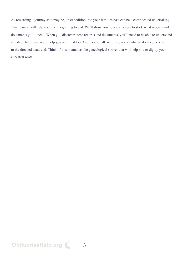As rewarding a journey as it may be, an expedition into your families past can be a complicated undertaking. This manual will help you from beginning to end. We'll show you how and where to start, what records and documents you'll need. When you discover those records and documents, you'll need to be able to understand and decipher them; we'll help you with that too. And most of all, we'll show you what to do if you come to the dreaded dead-end. Think of this manual as the genealogical shovel that will help you to dig up your ancestral roots!

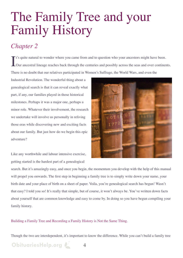# The Family Tree and your Family History

# *Chapter 2*

It's quite natural to wonder where you came from and to question who your ancestors might have been.<br>Our ancestral lineage reaches back through the centuries and possibly across the seas and over continer Our ancestral lineage reaches back through the centuries and possibly across the seas and over continents. There is no doubt that our relatives participated in Women's Suffrage, the World Wars, and even the

Industrial Revolution. The wonderful thing about a genealogical search is that it can reveal exactly what part, if any, our families played in those historical milestones. Perhaps it was a major one, perhaps a minor role. Whatever their involvement, the research we undertake will involve us personally in reliving those eras while discovering new and exciting facts about our family. But just how do we begin this epic adventure?



Like any worthwhile and labour intensive exercise, getting started is the hardest part of a genealogical

search. But it's amazingly easy, and once you begin, the momentum you develop with the help of this manual will propel you onwards. The first step in beginning a family tree is to simply write down your name, your birth date and your place of birth on a sheet of paper. Voila, you're genealogical search has begun! Wasn't that easy? I told you so! It's really that simple, but of course, it won't always be. You've written down facts about yourself that are common knowledge and easy to come by. In doing so you have begun compiling your family history.

Building a Family Tree and Recording a Family History is Not the Same Thing.

Though the two are interdependent, it's important to know the difference. While you can't build a family tree

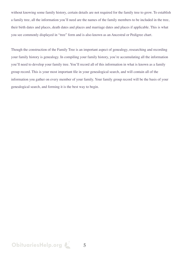without knowing some family history, certain details are not required for the family tree to grow. To establish a family tree, all the information you'll need are the names of the family members to be included in the tree, their birth dates and places, death dates and places and marriage dates and places if applicable. This is what you see commonly displayed in "tree" form and is also known as an Ancestral or Pedigree chart.

Though the construction of the Family Tree is an important aspect of genealogy, researching and recording your family history is genealogy. In compiling your family history, you're accumulating all the information you'll need to develop your family tree. You'll record all of this information in what is known as a family group record. This is your most important file in your genealogical search, and will contain all of the information you gather on every member of your family. Your family group record will be the basis of your genealogical search, and forming it is the best way to begin.

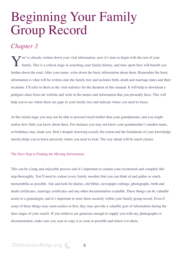# Beginning Your Family Group Record

### *Chapter 3*

You've already written down your vital information, now it's time to begin with the rest of your family. This is a critical stage in searching your family history, and time spent here will benefit you further down the road. After your name, write down the basic information about them. Remember the basic information is what will be written onto the family tree and includes birth, death and marriage dates and their locations. I'll refer to them as the vital statistics for the duration of this manual. It will help to download a pedigree chart from our website and write in the names and information that you presently have. This will help you to see where there are gaps in your family tree and indicate where you need to focus.

At this initial stage you may not be able to proceed much farther than your grandparents, and you might realize how little you know about them. For instance you may not know your grandmother's maiden name, or birthdays may elude you. Don't despair; knowing exactly the extent and the limitations of your knowledge merely helps you to know precisely where you need to look. The way ahead will be much clearer.

#### The Next Step is Finding the Missing Information

This can be a long and enjoyable process and it's important to contain your excitement and complete this step thoroughly. You'll need to contact every family member that you can think of and gather as much memorabilia as possible. Ask and look for diaries, old bibles, newspaper cuttings, photographs, birth and death certificates, marriage certificates and any other documentation available. These things can be valuable assets to a genealogist, and it's important to store them securely within your family group record. Even if some of these things may seem useless at first, they may provide a valuable gem of information during the later stages of your search. If you relatives are generous enough to supply you with any photographs or documentation, make sure you scan or copy it as soon as possible and return it to them.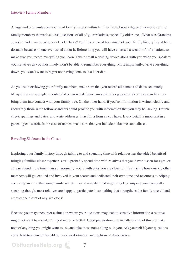#### Interview Family Members

A large and often untapped source of family history within families is the knowledge and memories of the family members themselves. Ask questions of all of your relatives, especially older ones. What was Grandma Jones's maiden name, who was Uncle Harry? You'll be amazed how much of your family history is just lying dormant because no one ever asked about it. Before long you will have amassed a wealth of information, so make sure you record everything you learn. Take a small recording device along with you when you speak to your relatives as you most likely won't be able to remember everything. Most importantly, write everything down, you won't want to regret not having done so at a later date.

As you're interviewing your family members, make sure that you record all names and dates accurately. Misspellings or wrongly recorded dates can wreak havoc amongst other genealogists whose searches may bring them into contact with your family tree. On the other hand, if you're information is written clearly and accurately those same fellow searchers could provide you with information that you may be lacking. Double check spellings and dates, and write addresses in as full a form as you have. Every detail is important in a genealogical search. In the case of names, make sure that you include nicknames and aliases.

#### Revealing Skeletons in the Closet

Exploring your family history through talking to and spending time with relatives has the added benefit of bringing families closer together. You'll probably spend time with relatives that you haven't seen for ages, or at least spend more time than you normally would with ones you are close to. It's amazing how quickly other members will get excited and involved in your search and dedicated their own time and resources to helping you. Keep in mind that some family secrets may be revealed that might shock or surprise you. Generally speaking though, most relatives are happy to participate in something that strengthens the family overall and empties the closet of any skeletons!

Because you may encounter a situation where your questions may lead to sensitive information a relative might not want to reveal, it' important to be tactful. Good preparation will usually ensure of this, so make note of anything you might want to ask and take those notes along with you. Ask yourself if your questions could lead to an uncomfortable or awkward situation and rephrase it if necessary.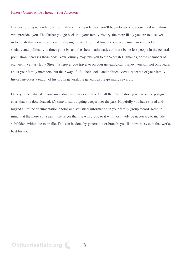#### History Comes Alive Through Your Ancestors

Besides forging new relationships with your living relatives, you'll begin to become acquainted with those who preceded you. The farther you go back into your family history, the more likely you are to discover individuals that were prominent in shaping the world of that time. People were much more involved socially and politically in times gone by, and the sheer mathematics of there being less people in the general population increases those odds. Your journey may take you to the Scottish Highlands, or the chambers of eighteenth century Bow Street. Wherever you travel to on your genealogical journey, you will not only learn about your family members, but their way of life, their social and political views. A search of your family history involves a search of history in general, the genealogist reaps many rewards.

Once you've exhausted your immediate resources and filled in all the information you can on the pedigree chart that you downloaded, it's time to start digging deeper into the past. Hopefully you have stored and logged all of the documentation photos and statistical information in your family group record. Keep in mind that the more you search, the larger that file will grow, so it will most likely be necessary to include subfolders within the main file. This can be done by generation or branch; you'll know the system that works best for you.

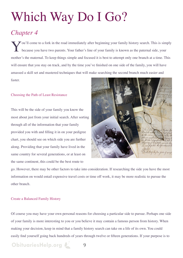# Which Way Do I Go?

# *Chapter 4*

You'll come to a fork in the road immediately after beginning your family history search. This is simply because you have two parents. Your father's line of your family is known as the paternal side, your because you have two parents. Your father's line of your family is known as the paternal side, your mother's the maternal. To keep things simple and focused it is best to attempt only one branch at a time. This will ensure that you stay on track, and by the time you've finished on one side of the family, you will have amassed a skill set and mastered techniques that will make searching the second branch much easier and faster.

### Choosing the Path of Least Resistance

This will be the side of your family you know the most about just from your initial search. After sorting through all of the information that your family provided you with and filling it in on your pedigree chart, you should see on which side you are further along. Providing that your family have lived in the same country for several generations, or at least on the same continent, this could be the best route to



go. However, there may be other factors to take into consideration. If researching the side you have the most information on would entail expensive travel costs or time off work, it may be more realistic to pursue the other branch.

### Create a Balanced Family History

Of course you may have your own personal reasons for choosing a particular side to pursue. Perhaps one side of your family is more interesting to you or you believe it may contain a famous person from history. When making your decision, keep in mind that a family history search can take on a life of its own. You could easily find yourself going back hundreds of years through twelve or fifteen generations. If your purpose is to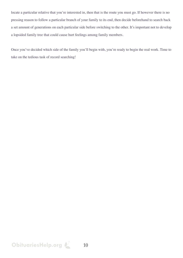locate a particular relative that you're interested in, then that is the route you must go. If however there is no pressing reason to follow a particular branch of your family to its end, then decide beforehand to search back a set amount of generations on each particular side before switching to the other. It's important not to develop a lopsided family tree that could cause hurt feelings among family members.

Once you've decided which side of the family you'll begin with, you're ready to begin the real work. Time to take on the tedious task of record searching!

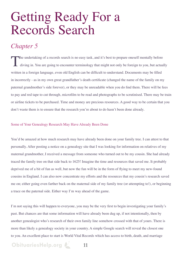# Getting Ready For a Records Search

### *Chapter 5*

The undertaking of a records search is no easy task, and it's best to prepare oneself mentally before diving in. You are going to encounter terminology that might not only be foreign to you, but actually written in a foreign language, even old English can be difficult to understand. Documents may be filled in incorrectly - as in my own great grandfather's death certificate (changed the name of the family on my paternal grandmother's side forever), or they may be unreadable when you do find them. There will be fees to pay and red tape to cut through, microfilm to be read and photographs to be scrutinised. There may be train or airline tickets to be purchased. Time and money are precious resources. A good way to be certain that you don't waste them is to ensure that the research you're about to do hasn't been done already.

#### Some of Your Genealogy Research May Have Already Been Done

You'd be amazed at how much research may have already been done on your family tree. I can attest to that personally. After posting a notice on a genealogy site that I was looking for information on relatives of my maternal grandmother, I received a message from someone who turned out to be my cousin. She had already traced the family tree on that side back to 1625! Imagine the time and resources that saved me. It probably deprived me of a bit of fun as well, but now the fun will be in the form of flying to meet my new-found cousins in England. I can also now concentrate my efforts and the resources that my cousin's research saved me on; either going even farther back on the maternal side of my family tree (or attempting to!), or beginning a trace on the paternal side. Either way I'm way ahead of the game.

I'm not saying this will happen to everyone, you may be the very first to begin investigating your family's past. But chances are that some information will have already been dug up, if not intentionally, then by another genealogist who's research of their own family line somehow crossed with that of yours. There is more than likely a genealogy society in your country. A simple Google search will reveal the closest one to you. An excellent place to start is World Vital Records which has access to birth, death, and marriage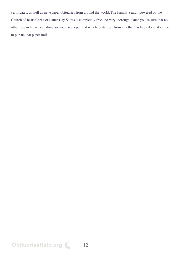certificates, as well as newspaper obituaries from around the world. The Family Search powered by the Church of Jesus Christ of Latter Day Saints is completely free and very thorough. Once you're sure that no other research has been done, or you have a point at which to start off from any that has been done, it's time to pursue that paper trail.

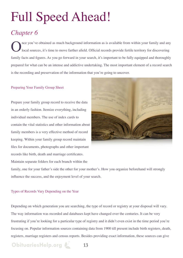# Full Speed Ahead!

# *Chapter 6*

Once you've obtained as much background information as is available from within your family and any local sources, it's time to move farther afield. Official records provide fertile territory for discovering local sources, it's time to move farther afield. Official records provide fertile territory for discovering family facts and figures. As you go forward in your search, it's important to be fully equipped and thoroughly prepared for what can be an intense and addictive undertaking. The most important element of a record search is the recording and preservation of the information that you're going to uncover.

#### Preparing Your Family Group Sheet

Prepare your family group record to receive the data in an orderly fashion. Itemize everything, including individual members. The use of index cards to contain the vital statistics and other information about family members is a very effective method of record keeping. Within your family group record maintain files for documents, photographs and other important records like birth, death and marriage certificates.

Maintain separate folders for each branch within the



family, one for your father's side the other for your mother's. How you organize beforehand will strongly influence the success, and the enjoyment level of your search.

#### Types of Records Vary Depending on the Year

Depending on which generation you are searching, the type of record or registry at your disposal will vary. The way information was recorded and databases kept have changed over the centuries. It can be very frustrating if you're looking for a particular type of registry and it didn't even exist in the time period you're focusing on. Popular information sources containing data from 1900 till present include birth registers, death, registers, marriage registers and census reports. Besides providing exact information, these sources can give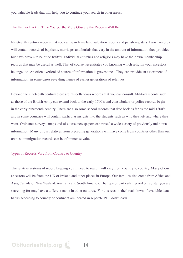you valuable leads that will help you to continue your search in other areas.

#### The Farther Back in Time You go, the More Obscure the Records Will Be

Nineteenth century records that you can search are land valuation reports and parish registers. Parish records will contain records of baptisms, marriages and burials that vary in the amount of information they provide, but have proven to be quite fruitful. Individual churches and religions may have their own membership records that may be useful as well. That of course necessitates you knowing which religion your ancestors belonged to. An often overlooked source of information is gravestones. They can provide an assortment of information, in some cases revealing names of earlier generations of relatives.

Beyond the nineteenth century there are miscellaneous records that you can consult. Military records such as those of the British Army can extend back to the early 1700's and constabulary or police records begin in the early nineteenth century. There are also some school records that date back as far as the mid 1800's and in some countries will contain particular insights into the students such as why they left and where they went. Ordnance surveys, maps and of course newspapers can reveal a wide variety of previously unknown information. Many of our relatives from preceding generations will have come from countries other than our own, so immigration records can be of immense value.

#### Types of Records Vary from Country to Country

The relative systems of record keeping you'll need to search will vary from country to country. Many of our ancestors will be from the UK or Ireland and other places in Europe. Our families also come from Africa and Asia, Canada or New Zealand, Australia and South America. The type of particular record or register you are searching for may have a different name in other cultures. For this reason, the break down of available data banks according to country or continent are located in separate PDF downloads.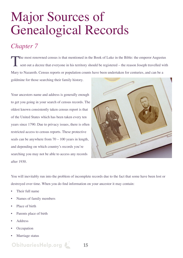# Major Sources of Genealogical Records

# *Chapter 7*

The most renowned census is that mentioned in the Book of Luke in the Bible: the emperor Augustus<br>sent out a decree that everyone in his territory should be registered – the reason Joseph travelled with sent out a decree that everyone in his territory should be registered – the reason Joseph travelled with Mary to Nazareth. Census reports or population counts have been undertaken for centuries, and can be a goldmine for those searching their family history.

Your ancestors name and address is generally enough to get you going in your search of census records. The oldest known consistently taken census report is that of the United States which has been taken every ten years since 1790. Due to privacy issues, there is often restricted access to census reports. These protective seals can be anywhere from 70 – 100 years in length, and depending on which country's records you're searching you may not be able to access any records after 1930.



You will inevitably run into the problem of incomplete records due to the fact that some have been lost or destroyed over time. When you do find information on your ancestor it may contain:

- Their full name
- Names of family members
- Place of birth
- Parents place of birth
- Address
- **Occupation**
- Marriage status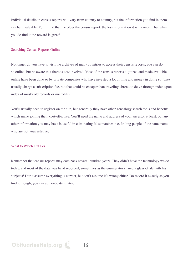Individual details in census reports will vary from country to country, but the information you find in them can be invaluable. You'll find that the older the census report, the less information it will contain, but when you do find it the reward is great!

#### Searching Census Reports Online

No longer do you have to visit the archives of many countries to access their census reports, you can do so online, but be aware that there is cost involved. Most of the census reports digitized and made available online have been done so by private companies who have invested a lot of time and money in doing so. They usually charge a subscription fee, but that could be cheaper than traveling abroad to delve through index upon index of musty old records or microfilm.

You'll usually need to register on the site, but generally they have other genealogy search tools and benefits which make joining them cost-effective. You'll need the name and address of your ancestor at least, but any other information you may have is useful in eliminating false matches, i.e. finding people of the same name who are not your relative.

#### What to Watch Out For

Remember that census reports may date back several hundred years. They didn't have the technology we do today, and most of the data was hand recorded, sometimes as the enumerator shared a glass of ale with his subjects! Don't assume everything is correct, but don't assume it's wrong either. Do record it exactly as you find it though, you can authenticate it later.

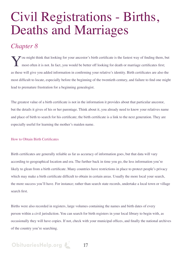# Civil Registrations - Births, Deaths and Marriages

### *Chapter 8*

You might think that looking for your ancestor's birth certificate is the fastest way of finding them, but most often it is not. In fact, you would be better off looking for death or marriage certificates first; as these will give you added information in confirming your relative's identity. Birth certificates are also the most difficult to locate, especially before the beginning of the twentieth century, and failure to find one might lead to premature frustration for a beginning genealogist.

The greatest value of a birth certificate is not in the information it provides about that particular ancestor, but the details it gives of his or her parentage. Think about it, you already need to know your relatives name and place of birth to search for his certificate; the birth certificate is a link to the next generation. They are especially useful for learning the mother's maiden name.

### How to Obtain Birth Certificates

Birth certificates are generally reliable as far as accuracy of information goes, but that data will vary according to geographical location and era. The further back in time you go, the less information you're likely to glean from a birth certificate. Many countries have restrictions in place to protect people's privacy which may make a birth certificate difficult to obtain in certain areas. Usually the more local your search, the more success you'll have. For instance; rather than search state records, undertake a local town or village search first.

Births were also recorded in registers, large volumes containing the names and birth dates of every person within a civil jurisdiction. You can search for birth registers in your local library to begin with, as occasionally they will have copies. If not, check with your municipal offices, and finally the national archives of the country you're searching.

# **[ObituariesHelp.org](http://www.obituarieshelp.org/?utm_source=familytree_pdf_v1&utm_medium=gary_pdf&utm_campaign=genealogy_pdf)**  $\mathbb{Z}$  17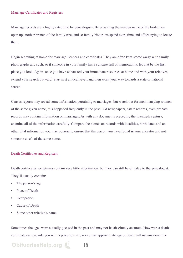#### Marriage Certificates and Registers

Marriage records are a highly rated find by genealogists. By providing the maiden name of the bride they open up another branch of the family tree, and so family historians spend extra time and effort trying to locate them.

Begin searching at home for marriage licences and certificates. They are often kept stored away with family photographs and such, so if someone in your family has a suitcase full of memorabilia; let that be the first place you look. Again, once you have exhausted your immediate resources at home and with your relatives, extend your search outward. Start first at local level, and then work your way towards a state or national search.

Census reports may reveal some information pertaining to marriages, but watch out for men marrying women of the same given name, this happened frequently in the past. Old newspapers, estate records, even probate records may contain information on marriages. As with any documents preceding the twentieth century, examine all of the information carefully. Compare the names on records with localities, birth dates and an other vital information you may possess to ensure that the person you have found is your ancestor and not someone else's of the same name.

#### Death Certificates and Registers

Death certificates sometimes contain very little information, but they can still be of value to the genealogist. They'll usually contain:

- The person's age
- Place of Death
- **Occupation**
- Cause of Death
- Some other relative's name

Sometimes the ages were actually guessed in the past and may not be absolutely accurate. However, a death certificate can provide you with a place to start, as even an approximate age of death will narrow down the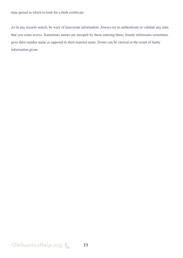time period in which to look for a birth certificate.

As in any records search, be wary of inaccurate information. Always try to authenticate or validate any data that you come across. Sometimes names are misspelt by those entering them; female informants sometimes gave their maiden name as opposed to their married name. Errors can be clerical or the result of faulty information given.

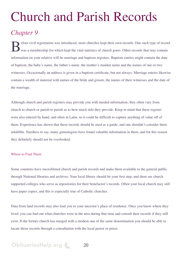# Church and Parish Records

# *Chapter 9*

Before civil registration was introduced, most churches kept their own records. One such type of record was a membership list which kept the vital statistics of church goers. Other records that may contain was a membership list which kept the vital statistics of church goers. Other records that may contain information on your relative will be marriage and baptism registers. Baptism entries might contain the date of baptism, the baby's name, the father's name, the mother's maiden name and the names of one or two witnesses. Occasionally an address is given in a baptism certificate, but not always. Marriage entries likewise contain a wealth of material with names of the bride and groom, the names of their witnesses and the date of the marriage.

Although church and parish registers may provide you with needed information, they often vary from church to church or parish to parish as to how much info they provide. Keep in mind that these register were also entered by hand, and often in Latin, so it could be difficult to capture anything of value off of them. Experience has shown that these records should be used as a guide, and one shouldn't consider them infallible. Needless to say, many genealogists have found valuable information in them, and for this reason they definitely should not be overlooked.

#### Where to Find Them

Some countries have microfilmed church and parish records and make them available to the general public through National libraries and archives. Your local library should be your first step, and there are church supported colleges who serve as repositories for their benefactor's records. Often your local church may still have paper copies, and this is especially true of Catholic churches.

Data from land records may also lead you to your ancestor's place of residence. Once you know where they lived, you can find out what churches were in the area during that time and consult their records if they still exist. If the former church has merged with a modern one of the same denomination you should be able to locate those records through a consultation with the local pastor or priest.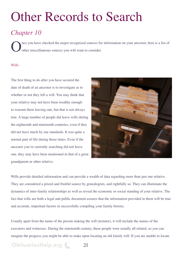# Other Records to Search

# *Chapter 10*

nce you have checked the major recognized sources for information on your ancestor, here is a list of other miscellaneous sources you will want to consider.

#### Wills

The first thing to do after you have secured the date of death of an ancestor is to investigate as to whether or not they left a will. You may think that your relative may not have been wealthy enough to warrant them leaving one, but that is not always true. A large number of people did leave wills during the eighteenth and nineteenth centuries, even if they did not have much by our standards. It was quite a normal part of life during those times. Even if the ancestor you're currently searching did not leave one, they may have been mentioned in that of a great grandparent or other relative.

**[ObituariesHelp.org](http://www.obituarieshelp.org/?utm_source=familytree_pdf_v1&utm_medium=gary_pdf&utm_campaign=genealogy_pdf) 21**



Wills provide detailed information and can provide a wealth of data regarding more than just one relative. They are considered a prized and fruitful source by genealogists, and rightfully so. They can illuminate the dynamics of inter-family relationships as well as reveal the economic or social standing of your relative. The fact that wills are both a legal and public document assures that the information provided in them will be true and accurate, important factors in successfully compiling your family history.

Usually apart from the name of the person making the will (testator), it will include the names of the executors and witnesses. During the nineteenth century, these people were usually all related, so you can imagine the progress you might be able to make upon locating an old family will. If you are unable to locate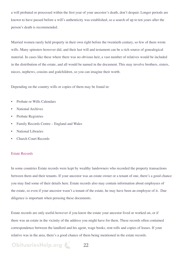a will probated or processed within the first year of your ancestor's death, don't despair. Longer periods are known to have passed before a will's authenticity was established, so a search of up to ten years after the person's death is recommended.

Married women rarely held property in their own right before the twentieth century, so few of them wrote wills. Many spinsters however did, and their last will and testament can be a rich source of genealogical material. In cases like these where there was no obvious heir, a vast number of relatives would be included in the distribution of the estate, and all would be named in the document. This may involve brothers, sisters, nieces, nephews, cousins and godchildren, so you can imagine their worth.

Depending on the country wills or copies of them may be found in:

- Probate or Wills Calendars
- National Archives
- Probate Registries
- Family Records Centre England and Wales
- National Libraries
- Church Court Records

#### Estate Records

In some countries Estate records were kept by wealthy landowners who recorded the property transactions between them and their tenants. If your ancestor was an estate owner or a tenant of one, there's a good chance you may find some of their details here. Estate records also may contain information about employees of the estate, so even if your ancestor wasn't a tenant of the estate, he may have been an employee of it. Due diligence is important when perusing these documents.

Estate records are only useful however if you know the estate your ancestor lived or worked on, or if there was an estate in the vicinity of the address you might have for them. These records often contained correspondence between the landlord and his agent, wage books, rent rolls and copies of leases. If your relative was in the area, there's a good chance of them being mentioned in the estate records.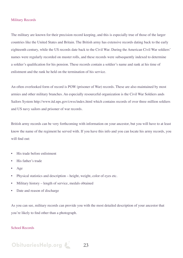#### Military Records

The military are known for their precision record keeping, and this is especially true of those of the larger countries like the United States and Britain. The British army has extensive records dating back to the early eighteenth century, while the US records date back to the Civil War. During the American Civil War soldiers' names were regularly recorded on muster rolls, and these records were subsequently indexed to determine a soldier's qualification for his pension. These records contain a soldier's name and rank at his time of enlistment and the rank he held on the termination of his service.

An often overlooked form of record is POW (prisoner of War) records. These are also maintained by most armies and other military branches. An especially resourceful organization is the Civil War Soldiers ands Sailors System http://www.itd.nps.gov/cwss/index.html which contains records of over three million soldiers and US navy sailors and prisoner of war records.

British army records can be very forthcoming with information on your ancestor, but you will have to at least know the name of the regiment he served with. If you have this info and you can locate his army records, you will find out:

- His trade before enlistment
- His father's trade
- Age
- Physical statistics and description height, weight, color of eyes etc.
- Military history length of service, medals obtained
- Date and reason of discharge

As you can see, military records can provide you with the most detailed description of your ancestor that you're likely to find other than a photograph.

#### School Records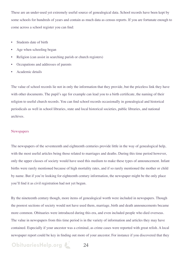These are an under-used yet extremely useful source of genealogical data. School records have been kept by some schools for hundreds of years and contain as much data as census reports. If you are fortunate enough to come across a school register you can find:

- Students date of birth
- Age when schooling began
- Religion (can assist in searching parish or church registers)
- Occupations and addresses of parents
- Academic details

The value of school records lie not in only the information that they provide, but the priceless link they have with other documents. The pupil's age for example can lead you to a birth certificate, the naming of their religion to useful church records. You can find school records occasionally in genealogical and historical periodicals as well in school libraries, state and local historical societies, public libraries, and national archives.

#### **Newspapers**

The newspapers of the seventeenth and eighteenth centuries provide little in the way of genealogical help, with the most useful articles being those related to marriages and deaths. During this time period however, only the upper classes of society would have used this medium to make these types of announcement. Infant births were rarely mentioned because of high mortality rates, and if so rarely mentioned the mother or child by name. But if you're looking for eighteenth century information, the newspaper might be the only place you'll find it as civil registration had not yet begun.

By the nineteenth century though, more items of genealogical worth were included in newspapers. Though the poorest sections of society would not have used them, marriage, birth and death announcements became more common. Obituaries were introduced during this era, and even included people who died overseas. The value in newspapers from this time period is in the variety of information and articles they may have contained. Especially if your ancestor was a criminal, as crime cases were reported with great relish. A local newspaper report could be key in finding out more of your ancestor. For instance if you discovered that they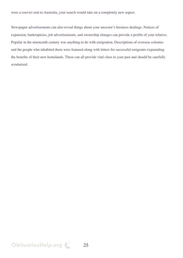were a convict sent to Australia, your search would take on a completely new aspect.

Newspaper advertisements can also reveal things about your ancestor's business dealings. Notices of expansion, bankruptcies, job advertisements, and ownership changes can provide a profile of your relative. Popular in the nineteenth century was anything to do with emigration. Descriptions of overseas colonies and the people who inhabited them were featured along with letters fro successful emigrants expounding the benefits of their new homelands. These can all provide vital clues to your past and should be carefully scrutinized.

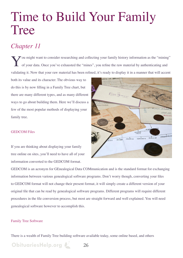# Time to Build Your Family Tree

# *Chapter 11*

You might want to consider researching and collecting your family history information as the "mining" of your data. Once you've exhausted the "mines", you refine the raw material by authenticating and of your data. Once you've exhausted the "mines", you refine the raw material by authenticating and validating it. Now that your raw material has been refined, it's ready to display it in a manner that will accent

both its value and its character. The obvious way to do this is by now filling in a Family Tree chart, but there are many different types, and as many different ways to go about building them. Here we'll discuss a few of the most popular methods of displaying your family tree.

### GEDCOM Files

If you are thinking about displaying your family tree online on sites, you'll need to have all of your information converted to the GEDCOM format.

**[ObituariesHelp.org](http://www.obituarieshelp.org/?utm_source=familytree_pdf_v1&utm_medium=gary_pdf&utm_campaign=genealogy_pdf)** 26



#### Family Tree Software

There is a wealth of Family Tree building software available today, some online based, and others

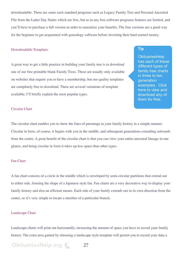downloadable. There are some such standard programs such as Legacy Family Tree and Personal Ancestral File from the Latter Day Saints which are free, but as in any free software programs features are limited, and you'll have to purchase a full version in order to maximize your benefits, The free versions are a good way for the beginner to get acquainted with genealogy software before investing their hard-earned money.

#### Downloadable Templates

A great way to get a little practice in building your family tree is to download one of our free printable blank Family Trees. These are usually only available on websites that require you to have a membership, but our quality templates are completely free to download. There are several variations of template available; I'll briefly explain the most popular types.

#### **[Tip](http://www.obituarieshelp.org/free_printable_blank_family_tree.html?utm_source=familytree_pdf_v1&utm_medium=gary_pdf&utm_campaign=genealogy_pdf)**

**ObituariesHelp** [has each of these](http://www.obituarieshelp.org/free_printable_blank_family_tree.html?utm_source=familytree_pdf_v1&utm_medium=gary_pdf&utm_campaign=genealogy_pdf)  [different types of](http://www.obituarieshelp.org/free_printable_blank_family_tree.html?utm_source=familytree_pdf_v1&utm_medium=gary_pdf&utm_campaign=genealogy_pdf)  [family tree charts](http://www.obituarieshelp.org/free_printable_blank_family_tree.html?utm_source=familytree_pdf_v1&utm_medium=gary_pdf&utm_campaign=genealogy_pdf)  [in three to ten](http://www.obituarieshelp.org/free_printable_blank_family_tree.html?utm_source=familytree_pdf_v1&utm_medium=gary_pdf&utm_campaign=genealogy_pdf)  [generation](http://www.obituarieshelp.org/free_printable_blank_family_tree.html?utm_source=familytree_pdf_v1&utm_medium=gary_pdf&utm_campaign=genealogy_pdf)  [examples. Click](http://www.obituarieshelp.org/free_printable_blank_family_tree.html?utm_source=familytree_pdf_v1&utm_medium=gary_pdf&utm_campaign=genealogy_pdf)  [here to view and](http://www.obituarieshelp.org/free_printable_blank_family_tree.html?utm_source=familytree_pdf_v1&utm_medium=gary_pdf&utm_campaign=genealogy_pdf)  download any of [them for free.](http://www.obituarieshelp.org/free_printable_blank_family_tree.html?utm_source=familytree_pdf_v1&utm_medium=gary_pdf&utm_campaign=genealogy_pdf)

#### Circular Chart

The circular chart enables you to show the lines of parentage in your family history in a simple manner. Circular in form, of course, it begins with you in the middle, and subsequent generations extending outwards from the centre. A great benefit of the circular chart is that you can view your entire ancestral lineage in one glance, and being circular in form it takes up less space than other types.

#### Fan Chart

A fan chart consists of a circle in the middle which is enveloped by semi-circular partitions that extend out to either side, forming the shape of a Japanese style fan. Fan charts are a very decorative way to display your family history and also an efficient means. Each side of your family extends out in its own direction from the center, so it's very simple to locate a member of a particular branch.

#### Landscape Chart

Landscape charts will print out horizontally, increasing the amount of space you have to record your family history. The extra area gained by choosing a landscape style template will permit you to record your data a

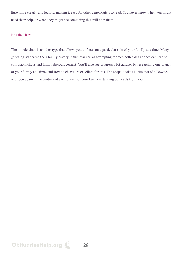little more clearly and legibly, making it easy for other genealogists to read. You never know when you might need their help, or when they might see something that will help them.

#### Bowtie Chart

The bowtie chart is another type that allows you to focus on a particular side of your family at a time. Many genealogists search their family history in this manner, as attempting to trace both sides at once can lead to confusion, chaos and finally discouragement. You'll also see progress a lot quicker by researching one branch of your family at a time, and Bowtie charts are excellent for this. The shape it takes is like that of a Bowtie, with you again in the centre and each branch of your family extending outwards from you.

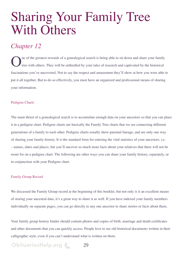# Sharing Your Family Tree With Others

### *Chapter 12*

The of the greatest rewards of a genealogical search is being able to sit down and share your family tree with others. They will be enthralled by your tales of research and captivated by the historical tree with others. They will be enthralled by your tales of research and captivated by the historical fascinations you've uncovered. Not to say the respect and amazement they'll show at how you were able to put it all together. But to do so effectively, you must have an organized and professional means of sharing your information.

### Pedigree Charts

The main thrust of a genealogical search is to accumulate enough data on your ancestors so that you can place it in a pedigree chart. Pedigree charts are basically the Family Tree charts that we see connecting different generations of a family to each other. Pedigree charts usually show parental lineage, and are only one way of sharing your family history. It is the standard form for entering the vital statistics of your ancestors, i.e. – names, dates and places, but you'll uncover so much more facts about your relatives that there will not be room for on a pedigree chart. The following are other ways you can share your family history, separately, or in conjunction with your Pedigree chart.

### Family Group Record

We discussed the Family Group record at the beginning of this booklet, but not only is it an excellent means of storing your ancestral data, it's a great way to share it as well. If you have indexed your family members individually on separate pages, you can go directly to any one ancestor to share stories or facts about them.

Your family group history binder should contain photos and copies of birth, marriage and death certificates and other documents that you can quickly access. People love to see old historical documents written in their calligraphic style, even if you can't understand what is written on them.

# **[ObituariesHelp.org](http://www.obituarieshelp.org/?utm_source=familytree_pdf_v1&utm_medium=gary_pdf&utm_campaign=genealogy_pdf)**  $\mathcal{L}$  29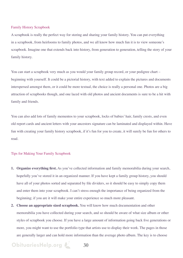#### Family History Scrapbook

A scrapbook is really the perfect way for storing and sharing your family history. You can put everything in a scrapbook, from heirlooms to family photos, and we all know how much fun it is to view someone's scrapbook. Imagine one that extends back into history, from generation to generation, telling the story of your family history.

You can start a scrapbook very much as you would your family group record, or your pedigree chart – beginning with yourself. It could be a pictorial history, with text added to explain the pictures and documents interspersed amongst them, or it could be more textual, the choice is really a personal one. Photos are a big attraction of scrapbooks though, and one laced with old photos and ancient documents is sure to be a hit with family and friends.

You can also add lots of family mementos to your scrapbook, locks of babies' hair, family crests, and even old report cards and ancient letters with your ancestors signature can be laminated and displayed within. Have fun with creating your family history scrapbook, if it's fun for you to create, it will surely be fun for others to read.

#### Tips for Making Your Family Scrapbook

- **1. Organize everything first.** As you've collected information and family memorabilia during your search, hopefully you've stored it in an organized manner. If you have kept a family group history, you should have all of your photos sorted and separated by file dividers, so it should be easy to simply copy them and enter them into your scrapbook. I can't stress enough the importance of being organized from the beginning; if you are it will make your entire experience so much more pleasant.
- **2. Choose an appropriate sized scrapbook.** You will know how much documentation and other memorabilia you have collected during your search, and so should be aware of what size album or other styles of scrapbook you choose. If you have a large amount of information going back five generations or more, you might want to use the portfolio type that artists use to display their work. The pages in those are generally larger and can hold more information than the average photo album. The key is to choose